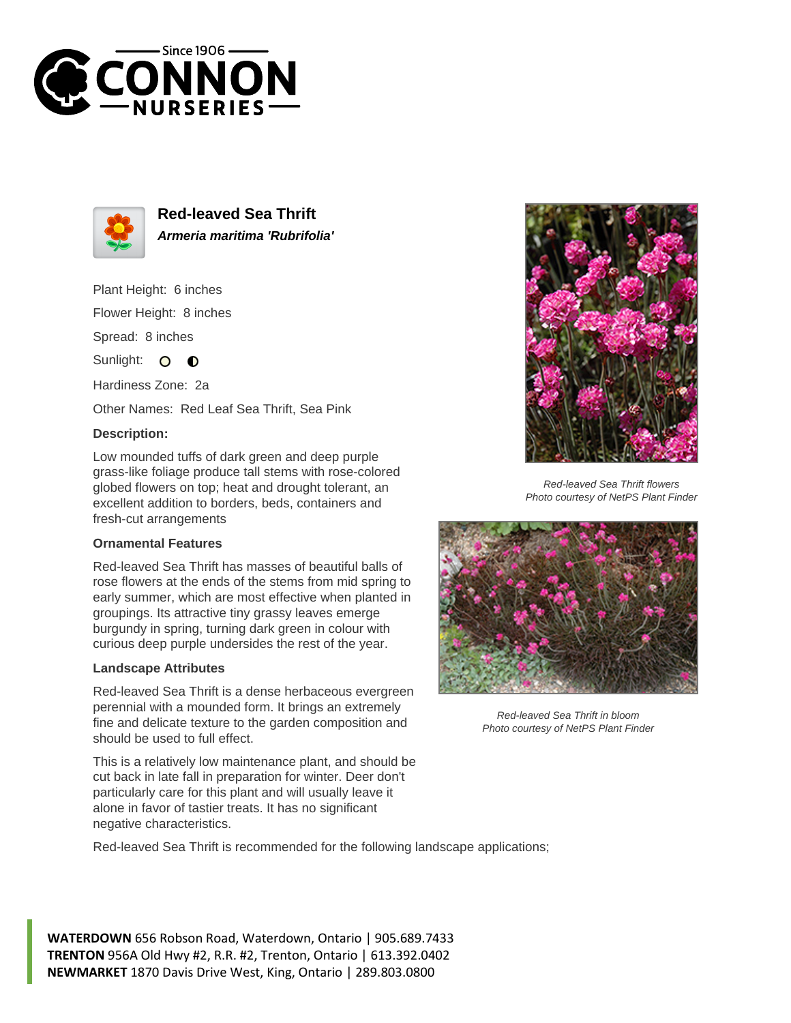



**Red-leaved Sea Thrift Armeria maritima 'Rubrifolia'**

Plant Height: 6 inches Flower Height: 8 inches

Spread: 8 inches

Sunlight: O **O** 

Hardiness Zone: 2a

Other Names: Red Leaf Sea Thrift, Sea Pink

## **Description:**

Low mounded tuffs of dark green and deep purple grass-like foliage produce tall stems with rose-colored globed flowers on top; heat and drought tolerant, an excellent addition to borders, beds, containers and fresh-cut arrangements

## **Ornamental Features**

Red-leaved Sea Thrift has masses of beautiful balls of rose flowers at the ends of the stems from mid spring to early summer, which are most effective when planted in groupings. Its attractive tiny grassy leaves emerge burgundy in spring, turning dark green in colour with curious deep purple undersides the rest of the year.

## **Landscape Attributes**

Red-leaved Sea Thrift is a dense herbaceous evergreen perennial with a mounded form. It brings an extremely fine and delicate texture to the garden composition and should be used to full effect.

This is a relatively low maintenance plant, and should be cut back in late fall in preparation for winter. Deer don't particularly care for this plant and will usually leave it alone in favor of tastier treats. It has no significant negative characteristics.



Red-leaved Sea Thrift flowers Photo courtesy of NetPS Plant Finder



Red-leaved Sea Thrift in bloom Photo courtesy of NetPS Plant Finder

Red-leaved Sea Thrift is recommended for the following landscape applications;

**WATERDOWN** 656 Robson Road, Waterdown, Ontario | 905.689.7433 **TRENTON** 956A Old Hwy #2, R.R. #2, Trenton, Ontario | 613.392.0402 **NEWMARKET** 1870 Davis Drive West, King, Ontario | 289.803.0800